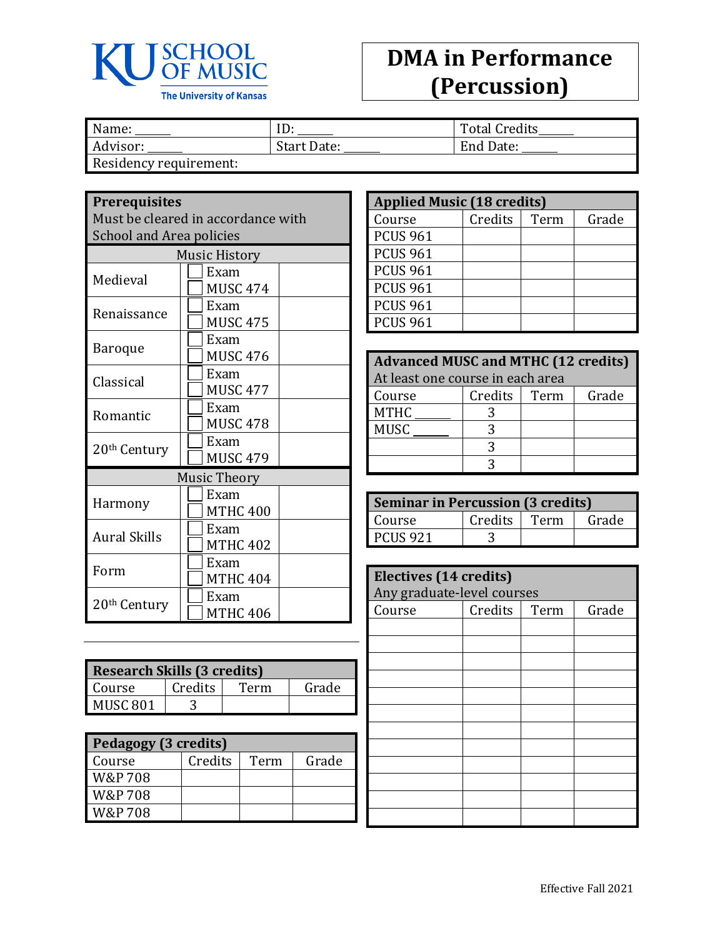

## **DMA in Performance (Percussion)**

| Name:                  | ID <sub>1</sub> | <b>Total Credits</b> |
|------------------------|-----------------|----------------------|
| Advisor:               | Start Date:     | End Date:            |
| Residency requirement: |                 |                      |

**Prerequisites**

Must be cleared in accordance with School and Area policies

| <b>Music History</b>     |                     |  |  |
|--------------------------|---------------------|--|--|
| Medieval                 | Exam                |  |  |
|                          | MUSC 474            |  |  |
| Renaissance              | Exam                |  |  |
|                          | <b>MUSC 475</b>     |  |  |
| Baroque                  | Exam                |  |  |
|                          | MUSC 476            |  |  |
| Classical                | Exam                |  |  |
|                          | <b>MUSC 477</b>     |  |  |
| Romantic                 | Exam                |  |  |
|                          | <b>MUSC 478</b>     |  |  |
| 20th Century             | Exam                |  |  |
|                          | <b>MUSC 479</b>     |  |  |
|                          | <b>Music Theory</b> |  |  |
|                          | Exam                |  |  |
| Harmony                  | <b>MTHC 400</b>     |  |  |
| <b>Aural Skills</b>      | Exam                |  |  |
|                          | <b>MTHC 402</b>     |  |  |
|                          | Exam                |  |  |
| Form                     | <b>MTHC 404</b>     |  |  |
|                          | Exam                |  |  |
| 20 <sup>th</sup> Century | <b>MTHC 406</b>     |  |  |

| <b>Research Skills (3 credits)</b> |         |      |       |
|------------------------------------|---------|------|-------|
| Course                             | Credits | Term | Grade |
| MUSC <sub>801</sub>                |         |      |       |

| Pedagogy (3 credits) |         |      |       |
|----------------------|---------|------|-------|
| Course               | Credits | Term | Grade |
| W&P 708              |         |      |       |
| W&P 708              |         |      |       |
| W&P 708              |         |      |       |

| <b>Applied Music (18 credits)</b> |         |      |       |
|-----------------------------------|---------|------|-------|
| Course                            | Credits | Term | Grade |
| <b>PCUS 961</b>                   |         |      |       |
| <b>PCUS 961</b>                   |         |      |       |
| <b>PCUS 961</b>                   |         |      |       |
| <b>PCUS 961</b>                   |         |      |       |
| <b>PCUS 961</b>                   |         |      |       |
| <b>PCUS 961</b>                   |         |      |       |

| <b>Advanced MUSC and MTHC (12 credits)</b> |         |      |       |  |
|--------------------------------------------|---------|------|-------|--|
| At least one course in each area           |         |      |       |  |
| Course                                     | Credits | Term | Grade |  |
| <b>MTHC</b>                                |         |      |       |  |
| <b>MUSC</b>                                |         |      |       |  |
|                                            |         |      |       |  |
|                                            |         |      |       |  |

| <b>Seminar in Percussion (3 credits)</b> |              |  |       |
|------------------------------------------|--------------|--|-------|
| Course                                   | Credits Term |  | Grade |
| <b>PCUS 921</b>                          |              |  |       |

| <b>Electives (14 credits)</b><br>Any graduate-level courses |         |      |       |
|-------------------------------------------------------------|---------|------|-------|
| Course                                                      | Credits | Term | Grade |
|                                                             |         |      |       |
|                                                             |         |      |       |
|                                                             |         |      |       |
|                                                             |         |      |       |
|                                                             |         |      |       |
|                                                             |         |      |       |
|                                                             |         |      |       |
|                                                             |         |      |       |
|                                                             |         |      |       |
|                                                             |         |      |       |
|                                                             |         |      |       |
|                                                             |         |      |       |